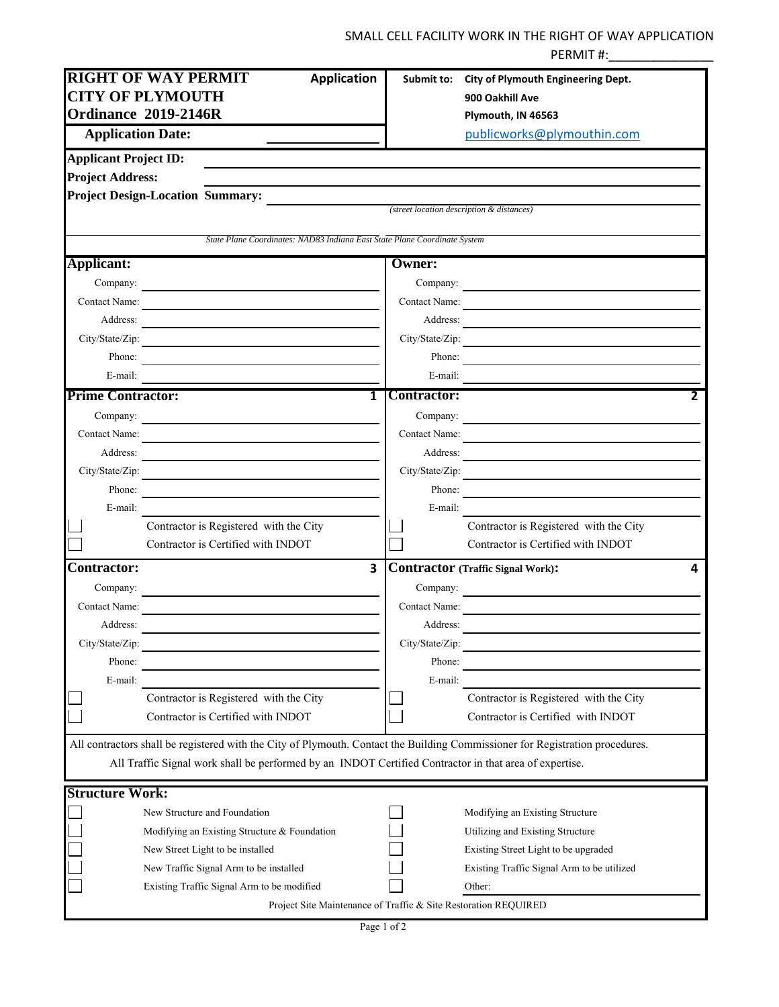## SMALL CELL FACILITY WORK IN THE RIGHT OF WAY APPLICATION PERMIT #:\_\_\_\_\_\_\_\_\_\_\_\_\_\_\_

| <b>RIGHT OF WAY PERMIT</b><br><b>Application</b>                                                                                 | City of Plymouth Engineering Dept.<br>Submit to:                                                                                  |
|----------------------------------------------------------------------------------------------------------------------------------|-----------------------------------------------------------------------------------------------------------------------------------|
| <b>CITY OF PLYMOUTH</b>                                                                                                          | 900 Oakhill Ave                                                                                                                   |
| Ordinance 2019-2146R                                                                                                             | Plymouth, IN 46563                                                                                                                |
| <b>Application Date:</b>                                                                                                         | publicworks@plymouthin.com                                                                                                        |
| <b>Applicant Project ID:</b>                                                                                                     |                                                                                                                                   |
| <b>Project Address:</b>                                                                                                          |                                                                                                                                   |
| Project Design-Location Summary: <i>(street location description &amp; distances</i> )                                           |                                                                                                                                   |
|                                                                                                                                  |                                                                                                                                   |
| State Plane Coordinates: NAD83 Indiana East State Plane Coordinate System                                                        |                                                                                                                                   |
| Applicant:                                                                                                                       | Owner:                                                                                                                            |
| Company:                                                                                                                         | Company:                                                                                                                          |
| Contact Name:                                                                                                                    | Contact Name:<br><u> 1989 - Jan Sterling Start, fransk politik (d. 1989)</u>                                                      |
| Address:<br><u> Alexandria de la contrada de la contrada de la contrada de la contrada de la contrada de la contrada de la c</u> | Address:<br><u> 1989 - Johann Harry Harry Harry Harry Harry Harry Harry Harry Harry Harry Harry Harry Harry Harry Harry Harry</u> |
| City/State/Zip:                                                                                                                  | City/State/Zip:                                                                                                                   |
| Phone:<br><u> 1989 - John Stein, mars and de Brazilian (b. 1989)</u>                                                             | Phone:                                                                                                                            |
| E-mail:                                                                                                                          | E-mail:                                                                                                                           |
| $\overline{\mathbf{1}}$<br><b>Prime Contractor:</b>                                                                              | <b>Contractor:</b><br>$\mathbf{2}$                                                                                                |
| Company:<br><u> 1980 - Andrea Andrew Maria (h. 1980).</u>                                                                        | Company:                                                                                                                          |
| Contact Name:                                                                                                                    | Contact Name:                                                                                                                     |
| Address:                                                                                                                         | Address:                                                                                                                          |
| City/State/Zip:                                                                                                                  | City/State/Zip:<br><u> 1989 - Jan James James Barbara, manala</u>                                                                 |
| Phone:<br><u> 1980 - Johann Barn, amerikansk politiker (d. 1980)</u>                                                             | Phone:                                                                                                                            |
| E-mail:                                                                                                                          | E-mail:                                                                                                                           |
| Contractor is Registered with the City                                                                                           | Contractor is Registered with the City                                                                                            |
| Contractor is Certified with INDOT                                                                                               | Contractor is Certified with INDOT                                                                                                |
| <b>Contractor:</b><br>3                                                                                                          | <b>Contractor (Traffic Signal Work):</b><br>4                                                                                     |
| Company:                                                                                                                         | Company:                                                                                                                          |
| Contact Name:                                                                                                                    | Contact Name:                                                                                                                     |
| Address:                                                                                                                         | Address:                                                                                                                          |
| City/State/Zip:                                                                                                                  | City/State/Zip:                                                                                                                   |
| Phone:                                                                                                                           | Phone:                                                                                                                            |
| E-mail:                                                                                                                          | E-mail:                                                                                                                           |
| Contractor is Registered with the City                                                                                           | Contractor is Registered with the City                                                                                            |
| Contractor is Certified with INDOT                                                                                               | Contractor is Certified with INDOT                                                                                                |
| All contractors shall be registered with the City of Plymouth. Contact the Building Commissioner for Registration procedures.    |                                                                                                                                   |
| All Traffic Signal work shall be performed by an INDOT Certified Contractor in that area of expertise.                           |                                                                                                                                   |
| <b>Structure Work:</b>                                                                                                           |                                                                                                                                   |
| New Structure and Foundation                                                                                                     | Modifying an Existing Structure                                                                                                   |
| Modifying an Existing Structure & Foundation                                                                                     | Utilizing and Existing Structure                                                                                                  |
| New Street Light to be installed                                                                                                 | Existing Street Light to be upgraded                                                                                              |
| New Traffic Signal Arm to be installed                                                                                           | Existing Traffic Signal Arm to be utilized                                                                                        |
| Existing Traffic Signal Arm to be modified                                                                                       | Other:                                                                                                                            |
|                                                                                                                                  | Project Site Maintenance of Traffic & Site Restoration REQUIRED                                                                   |